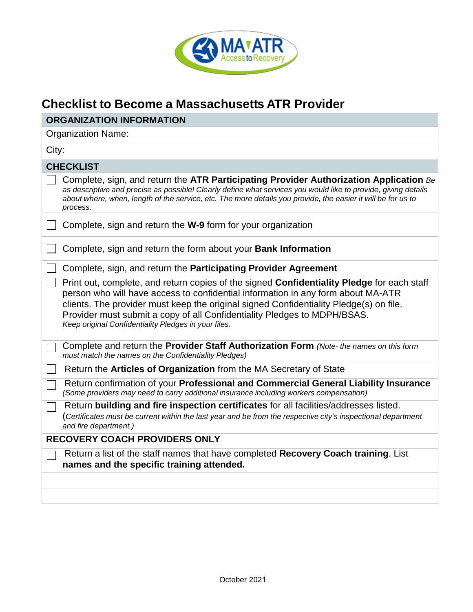

## **Checklist to Become a Massachusetts ATR Provider**

| <b>ORGANIZATION INFORMATION</b>                                                                                                                                                                                                                                                                                                                                                                              |  |  |
|--------------------------------------------------------------------------------------------------------------------------------------------------------------------------------------------------------------------------------------------------------------------------------------------------------------------------------------------------------------------------------------------------------------|--|--|
| <b>Organization Name:</b>                                                                                                                                                                                                                                                                                                                                                                                    |  |  |
| City:                                                                                                                                                                                                                                                                                                                                                                                                        |  |  |
| <b>CHECKLIST</b>                                                                                                                                                                                                                                                                                                                                                                                             |  |  |
| Complete, sign, and return the ATR Participating Provider Authorization Application Be<br>as descriptive and precise as possible! Clearly define what services you would like to provide, giving details<br>about where, when, length of the service, etc. The more details you provide, the easier it will be for us to<br>process.                                                                         |  |  |
| Complete, sign and return the W-9 form for your organization                                                                                                                                                                                                                                                                                                                                                 |  |  |
| Complete, sign and return the form about your Bank Information                                                                                                                                                                                                                                                                                                                                               |  |  |
| Complete, sign, and return the Participating Provider Agreement                                                                                                                                                                                                                                                                                                                                              |  |  |
| Print out, complete, and return copies of the signed Confidentiality Pledge for each staff<br>person who will have access to confidential information in any form about MA-ATR<br>clients. The provider must keep the original signed Confidentiality Pledge(s) on file.<br>Provider must submit a copy of all Confidentiality Pledges to MDPH/BSAS.<br>Keep original Confidentiality Pledges in your files. |  |  |
| Complete and return the Provider Staff Authorization Form (Note- the names on this form<br>must match the names on the Confidentiality Pledges)                                                                                                                                                                                                                                                              |  |  |
| Return the Articles of Organization from the MA Secretary of State                                                                                                                                                                                                                                                                                                                                           |  |  |
| Return confirmation of your Professional and Commercial General Liability Insurance<br>(Some providers may need to carry additional insurance including workers compensation)                                                                                                                                                                                                                                |  |  |
| Return building and fire inspection certificates for all facilities/addresses listed.<br>(Certificates must be current within the last year and be from the respective city's inspectional department<br>and fire department.)                                                                                                                                                                               |  |  |
| <b>RECOVERY COACH PROVIDERS ONLY</b>                                                                                                                                                                                                                                                                                                                                                                         |  |  |
| Return a list of the staff names that have completed Recovery Coach training. List<br>names and the specific training attended.                                                                                                                                                                                                                                                                              |  |  |
|                                                                                                                                                                                                                                                                                                                                                                                                              |  |  |
|                                                                                                                                                                                                                                                                                                                                                                                                              |  |  |